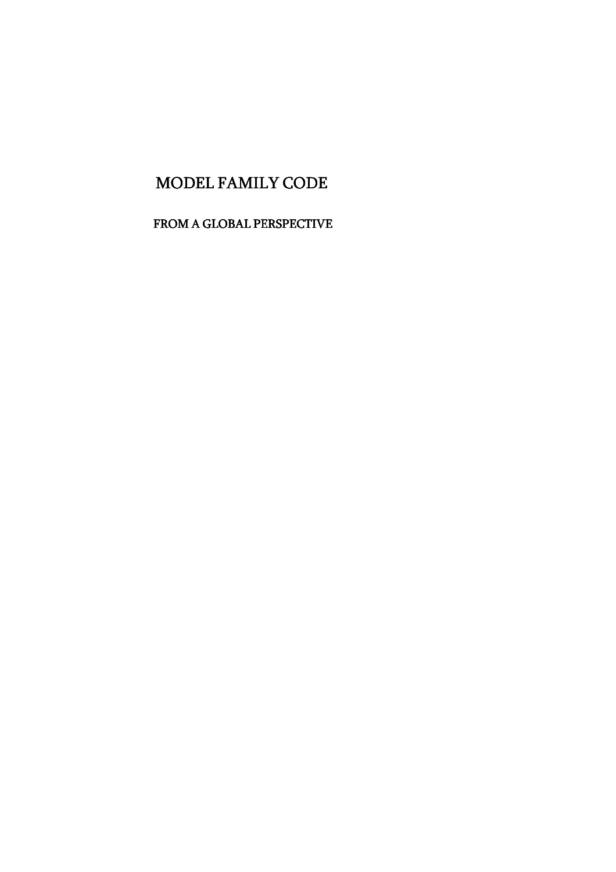# MODEL FAMILY CODE

FROM A GLOBAL PERSPECTIVE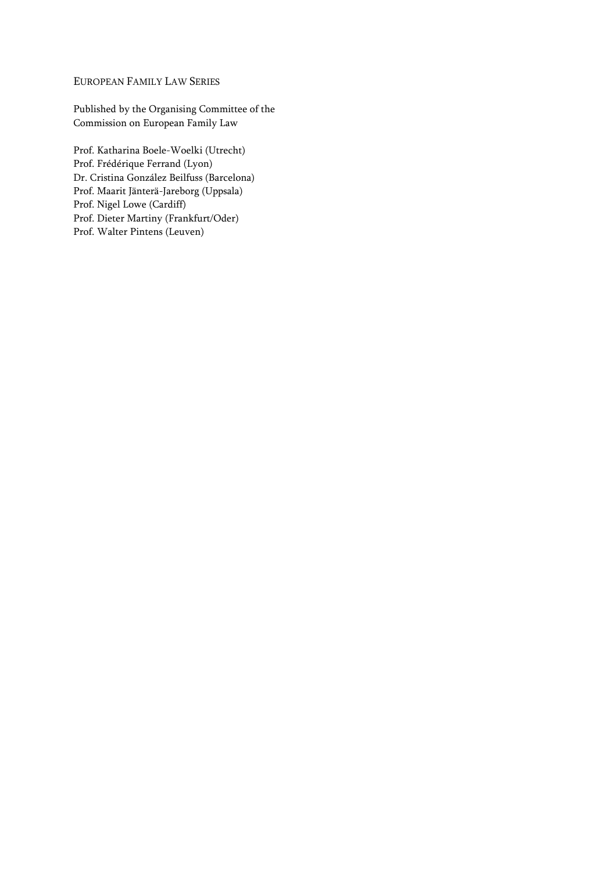#### EUROPEAN FAMILY LAW SERIES

Published by the Organising Committee of the Commission on European Family Law

Prof. Katharina Boele-Woelki (Utrecht) Prof. Frédérique Ferrand (Lyon) Dr. Cristina González Beilfuss (Barcelona) Prof. Maarit Jänterä-Jareborg (Uppsala) Prof. Nigel Lowe (Cardiff) Prof. Dieter Martiny (Frankfurt/Oder) Prof. Walter Pintens (Leuven)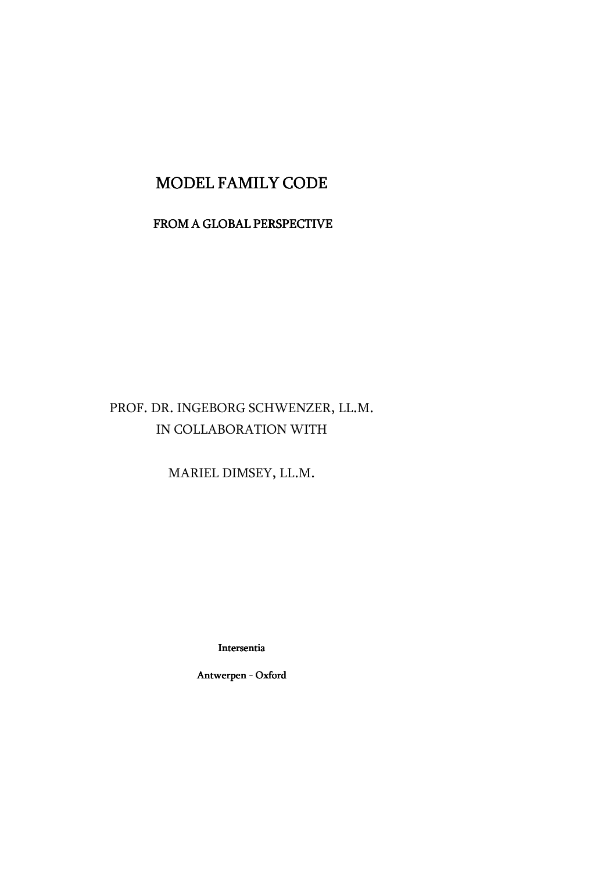## MODEL FAMILY CODE

### FROM A GLOBAL PERSPECTIVE

## PROF. DR. INGEBORG SCHWENZER, LL.M. IN COLLABORATION WITH

MARIEL DIMSEY, LL.M.

Intersentia

Antwerpen - Oxford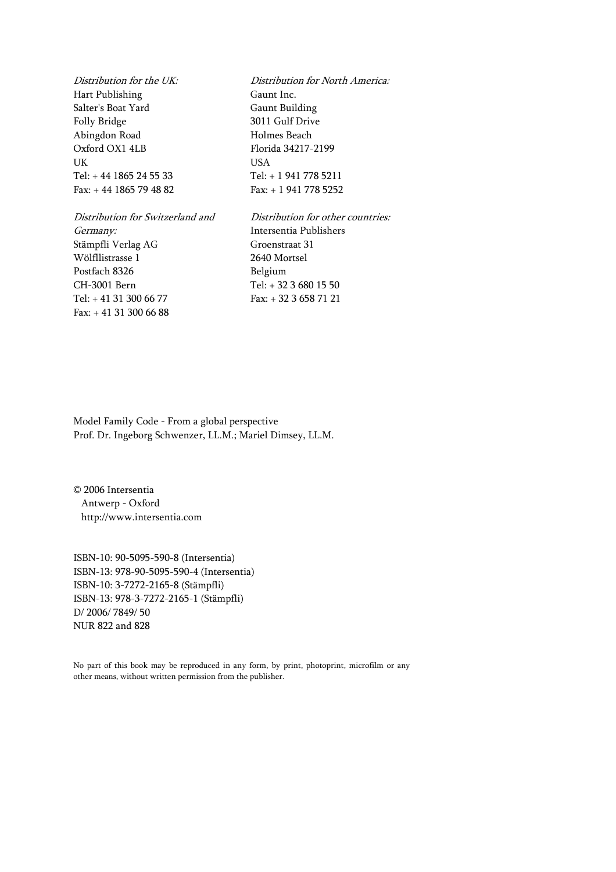Hart Publishing Gaunt Inc. Salter's Boat Yard Gaunt Building Folly Bridge 3011 Gulf Drive Abingdon Road Holmes Beach Oxford OX1 4LB Florida 34217-2199 UK USA Tel: + 44 1865 24 55 33 Tel: + 1 941 778 5211 Fax: + 44 1865 79 48 82 Fax: + 1 941 778 5252

Distribution for Switzerland and Distribution for other countries: Germany: Intersentia Publishers Stämpfli Verlag AG Groenstraat 31 Wölfllistrasse 1 2640 Mortsel Postfach 8326 Belgium CH-3001 Bern Tel: + 32 3 680 15 50 Tel: + 41 31 300 66 77 Fax: + 32 3 658 71 21 Fax: + 41 31 300 66 88

Distribution for the UK: Distribution for North America:

Model Family Code - From a global perspective Prof. Dr. Ingeborg Schwenzer, LL.M.; Mariel Dimsey, LL.M.

© 2006 Intersentia Antwerp - Oxford http://www.intersentia.com

ISBN-10: 90-5095-590-8 (Intersentia) ISBN-13: 978-90-5095-590-4 (Intersentia) ISBN-10: 3-7272-2165-8 (Stämpfli) ISBN-13: 978-3-7272-2165-1 (Stämpfli) D/ 2006/ 7849/ 50 NUR 822 and 828

No part of this book may be reproduced in any form, by print, photoprint, microfilm or any other means, without written permission from the publisher.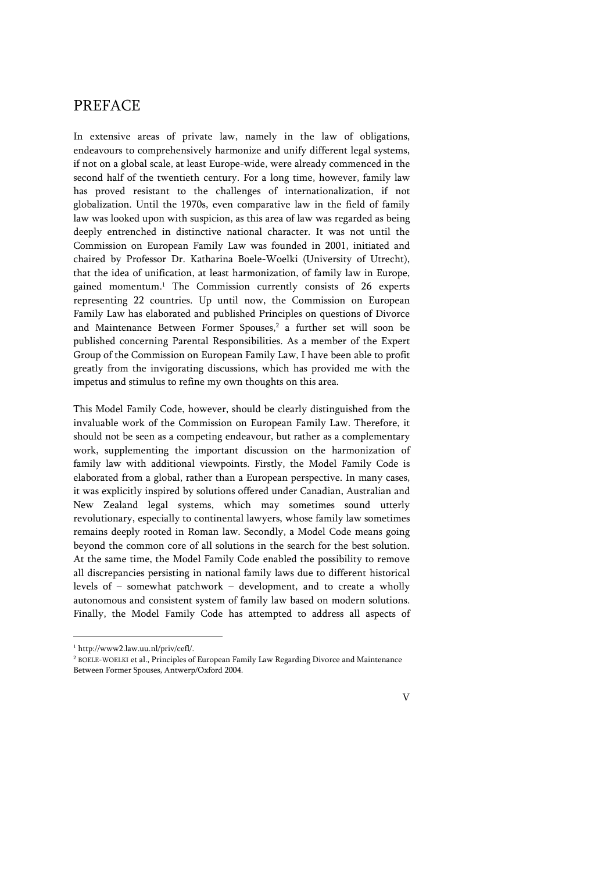## PREFACE

In extensive areas of private law, namely in the law of obligations, endeavours to comprehensively harmonize and unify different legal systems, if not on a global scale, at least Europe-wide, were already commenced in the second half of the twentieth century. For a long time, however, family law has proved resistant to the challenges of internationalization, if not globalization. Until the 1970s, even comparative law in the field of family law was looked upon with suspicion, as this area of law was regarded as being deeply entrenched in distinctive national character. It was not until the Commission on European Family Law was founded in 2001, initiated and chaired by Professor Dr. Katharina Boele-Woelki (University of Utrecht), that the idea of unification, at least harmonization, of family law in Europe, gained momentum.<sup>1</sup> The Commission currently consists of 26 experts representing 22 countries. Up until now, the Commission on European Family Law has elaborated and published Principles on questions of Divorce and Maintenance Between Former Spouses,<sup>2</sup> a further set will soon be published concerning Parental Responsibilities. As a member of the Expert Group of the Commission on European Family Law, I have been able to profit greatly from the invigorating discussions, which has provided me with the impetus and stimulus to refine my own thoughts on this area.

This Model Family Code, however, should be clearly distinguished from the invaluable work of the Commission on European Family Law. Therefore, it should not be seen as a competing endeavour, but rather as a complementary work, supplementing the important discussion on the harmonization of family law with additional viewpoints. Firstly, the Model Family Code is elaborated from a global, rather than a European perspective. In many cases, it was explicitly inspired by solutions offered under Canadian, Australian and New Zealand legal systems, which may sometimes sound utterly revolutionary, especially to continental lawyers, whose family law sometimes remains deeply rooted in Roman law. Secondly, a Model Code means going beyond the common core of all solutions in the search for the best solution. At the same time, the Model Family Code enabled the possibility to remove all discrepancies persisting in national family laws due to different historical levels of – somewhat patchwork – development, and to create a wholly autonomous and consistent system of family law based on modern solutions. Finally, the Model Family Code has attempted to address all aspects of

 $\overline{a}$ 

V

<sup>1</sup> http://www2.law.uu.nl/priv/cefl/.

<sup>2</sup> BOELE-WOELKI et al., Principles of European Family Law Regarding Divorce and Maintenance Between Former Spouses, Antwerp/Oxford 2004.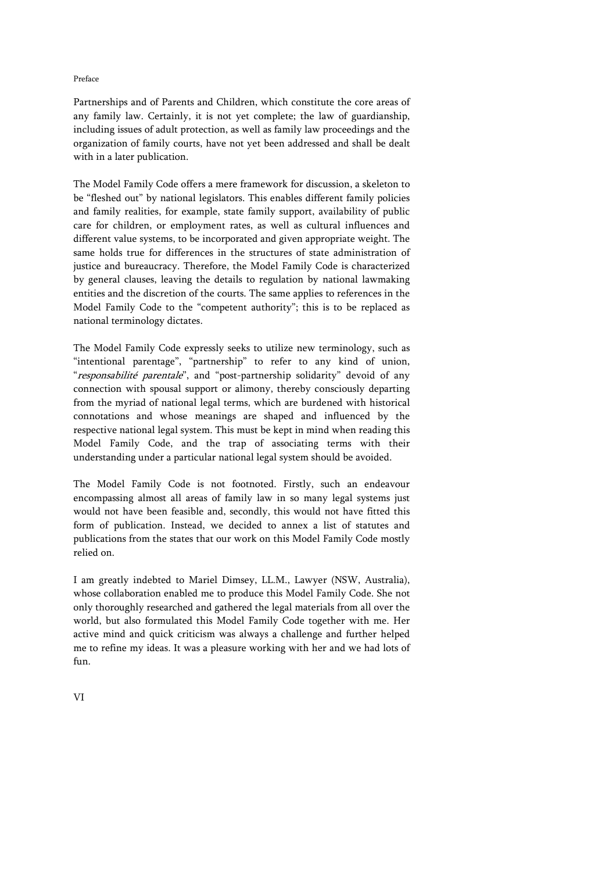#### Preface

Partnerships and of Parents and Children, which constitute the core areas of any family law. Certainly, it is not yet complete; the law of guardianship, including issues of adult protection, as well as family law proceedings and the organization of family courts, have not yet been addressed and shall be dealt with in a later publication.

The Model Family Code offers a mere framework for discussion, a skeleton to be "fleshed out" by national legislators. This enables different family policies and family realities, for example, state family support, availability of public care for children, or employment rates, as well as cultural influences and different value systems, to be incorporated and given appropriate weight. The same holds true for differences in the structures of state administration of justice and bureaucracy. Therefore, the Model Family Code is characterized by general clauses, leaving the details to regulation by national lawmaking entities and the discretion of the courts. The same applies to references in the Model Family Code to the "competent authority"; this is to be replaced as national terminology dictates.

The Model Family Code expressly seeks to utilize new terminology, such as "intentional parentage", "partnership" to refer to any kind of union, "responsabilité parentale", and "post-partnership solidarity" devoid of any connection with spousal support or alimony, thereby consciously departing from the myriad of national legal terms, which are burdened with historical connotations and whose meanings are shaped and influenced by the respective national legal system. This must be kept in mind when reading this Model Family Code, and the trap of associating terms with their understanding under a particular national legal system should be avoided.

The Model Family Code is not footnoted. Firstly, such an endeavour encompassing almost all areas of family law in so many legal systems just would not have been feasible and, secondly, this would not have fitted this form of publication. Instead, we decided to annex a list of statutes and publications from the states that our work on this Model Family Code mostly relied on.

I am greatly indebted to Mariel Dimsey, LL.M., Lawyer (NSW, Australia), whose collaboration enabled me to produce this Model Family Code. She not only thoroughly researched and gathered the legal materials from all over the world, but also formulated this Model Family Code together with me. Her active mind and quick criticism was always a challenge and further helped me to refine my ideas. It was a pleasure working with her and we had lots of fun.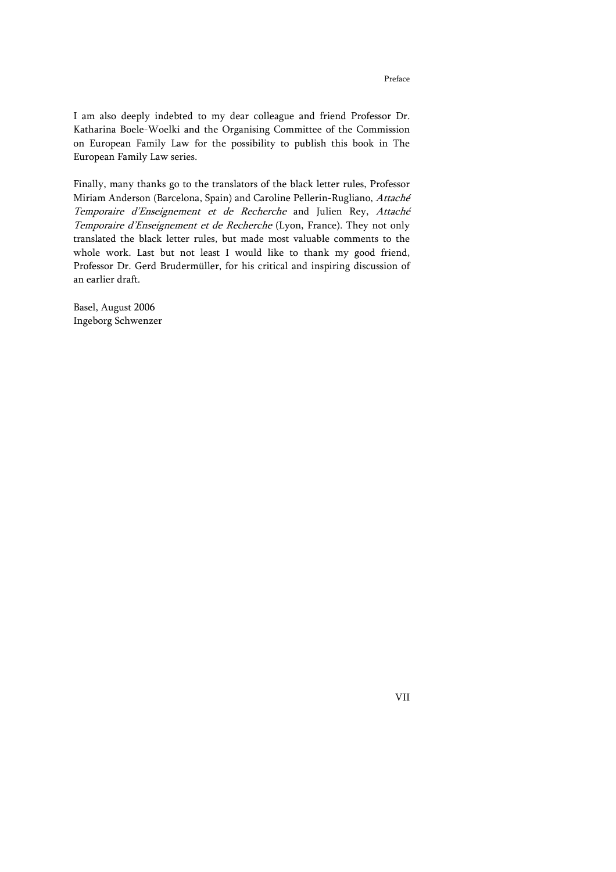Finally, many thanks go to the translators of the black letter rules, Professor Miriam Anderson (Barcelona, Spain) and Caroline Pellerin-Rugliano, Attaché Temporaire d'Enseignement et de Recherche and Julien Rey, Attaché Temporaire d'Enseignement et de Recherche (Lyon, France). They not only translated the black letter rules, but made most valuable comments to the whole work. Last but not least I would like to thank my good friend, Professor Dr. Gerd Brudermüller, for his critical and inspiring discussion of an earlier draft.

Basel, August 2006 Ingeborg Schwenzer

VII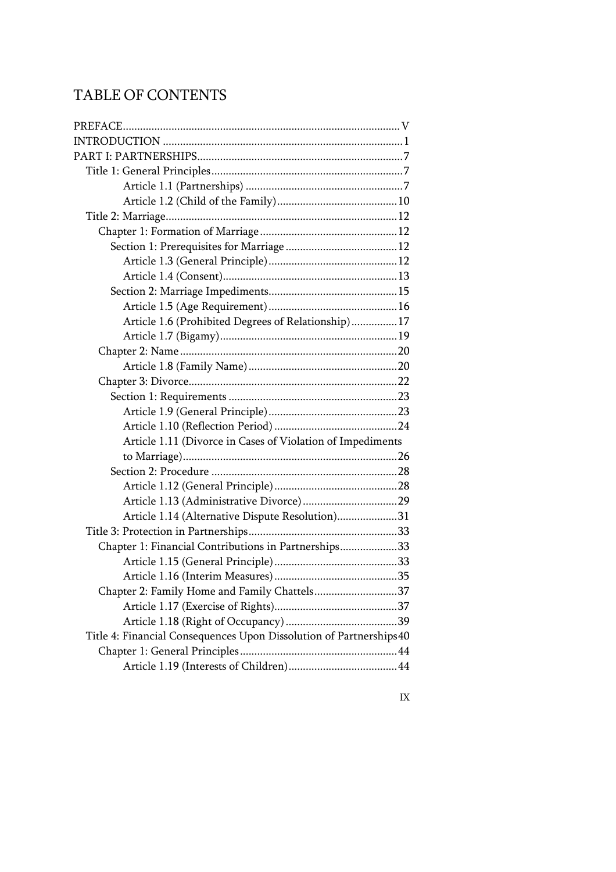# TABLE OF CONTENTS

| Article 1.6 (Prohibited Degrees of Relationship) 17                 |  |
|---------------------------------------------------------------------|--|
|                                                                     |  |
|                                                                     |  |
|                                                                     |  |
|                                                                     |  |
|                                                                     |  |
|                                                                     |  |
|                                                                     |  |
| Article 1.11 (Divorce in Cases of Violation of Impediments          |  |
|                                                                     |  |
|                                                                     |  |
|                                                                     |  |
|                                                                     |  |
| Article 1.14 (Alternative Dispute Resolution)31                     |  |
|                                                                     |  |
| Chapter 1: Financial Contributions in Partnerships33                |  |
|                                                                     |  |
|                                                                     |  |
| Chapter 2: Family Home and Family Chattels37                        |  |
|                                                                     |  |
|                                                                     |  |
| Title 4: Financial Consequences Upon Dissolution of Partnerships 40 |  |
|                                                                     |  |
|                                                                     |  |

IX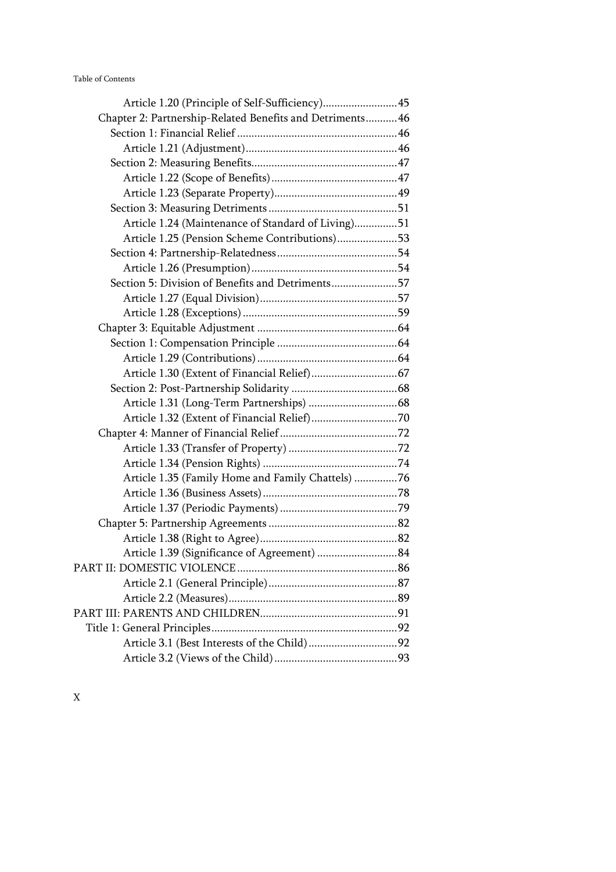| Article 1.20 (Principle of Self-Sufficiency) 45           |  |
|-----------------------------------------------------------|--|
| Chapter 2: Partnership-Related Benefits and Detriments 46 |  |
|                                                           |  |
|                                                           |  |
|                                                           |  |
|                                                           |  |
|                                                           |  |
|                                                           |  |
| Article 1.24 (Maintenance of Standard of Living)51        |  |
| Article 1.25 (Pension Scheme Contributions)53             |  |
|                                                           |  |
|                                                           |  |
| Section 5: Division of Benefits and Detriments57          |  |
|                                                           |  |
|                                                           |  |
|                                                           |  |
|                                                           |  |
|                                                           |  |
|                                                           |  |
|                                                           |  |
|                                                           |  |
|                                                           |  |
|                                                           |  |
|                                                           |  |
|                                                           |  |
| Article 1.35 (Family Home and Family Chattels) 76         |  |
|                                                           |  |
|                                                           |  |
|                                                           |  |
|                                                           |  |
| Article 1.39 (Significance of Agreement)  84              |  |
|                                                           |  |
|                                                           |  |
|                                                           |  |
|                                                           |  |
|                                                           |  |
|                                                           |  |
|                                                           |  |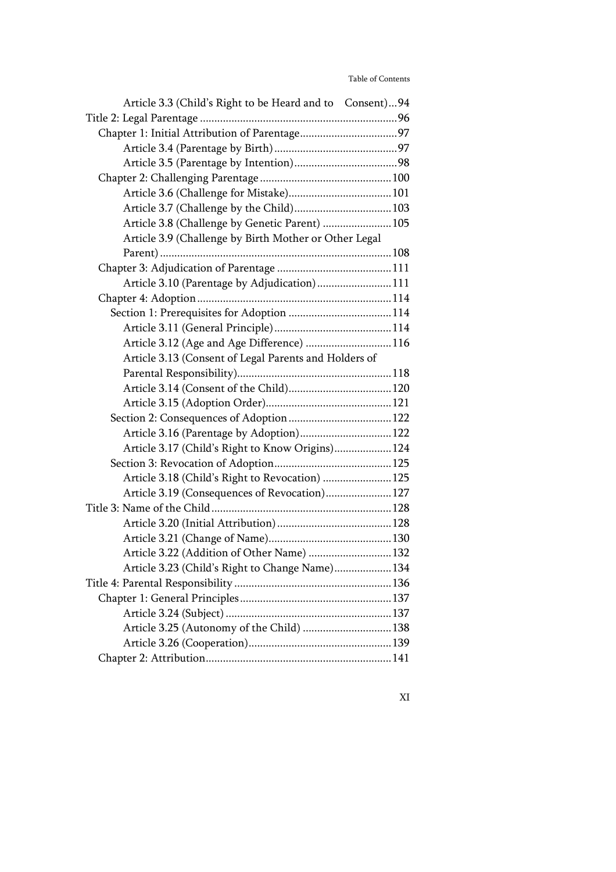| Article 3.3 (Child's Right to be Heard and to Consent)94 |  |
|----------------------------------------------------------|--|
|                                                          |  |
|                                                          |  |
|                                                          |  |
|                                                          |  |
|                                                          |  |
|                                                          |  |
| Article 3.7 (Challenge by the Child) 103                 |  |
| Article 3.8 (Challenge by Genetic Parent)  105           |  |
| Article 3.9 (Challenge by Birth Mother or Other Legal    |  |
|                                                          |  |
|                                                          |  |
| Article 3.10 (Parentage by Adjudication) 111             |  |
|                                                          |  |
|                                                          |  |
|                                                          |  |
| Article 3.12 (Age and Age Difference) 116                |  |
| Article 3.13 (Consent of Legal Parents and Holders of    |  |
|                                                          |  |
|                                                          |  |
|                                                          |  |
|                                                          |  |
| Article 3.16 (Parentage by Adoption) 122                 |  |
| Article 3.17 (Child's Right to Know Origins) 124         |  |
|                                                          |  |
| Article 3.18 (Child's Right to Revocation)  125          |  |
| Article 3.19 (Consequences of Revocation) 127            |  |
|                                                          |  |
|                                                          |  |
|                                                          |  |
| Article 3.22 (Addition of Other Name)  132               |  |
| Article 3.23 (Child's Right to Change Name) 134          |  |
|                                                          |  |
|                                                          |  |
|                                                          |  |
| Article 3.25 (Autonomy of the Child)  138                |  |
|                                                          |  |
|                                                          |  |

XI